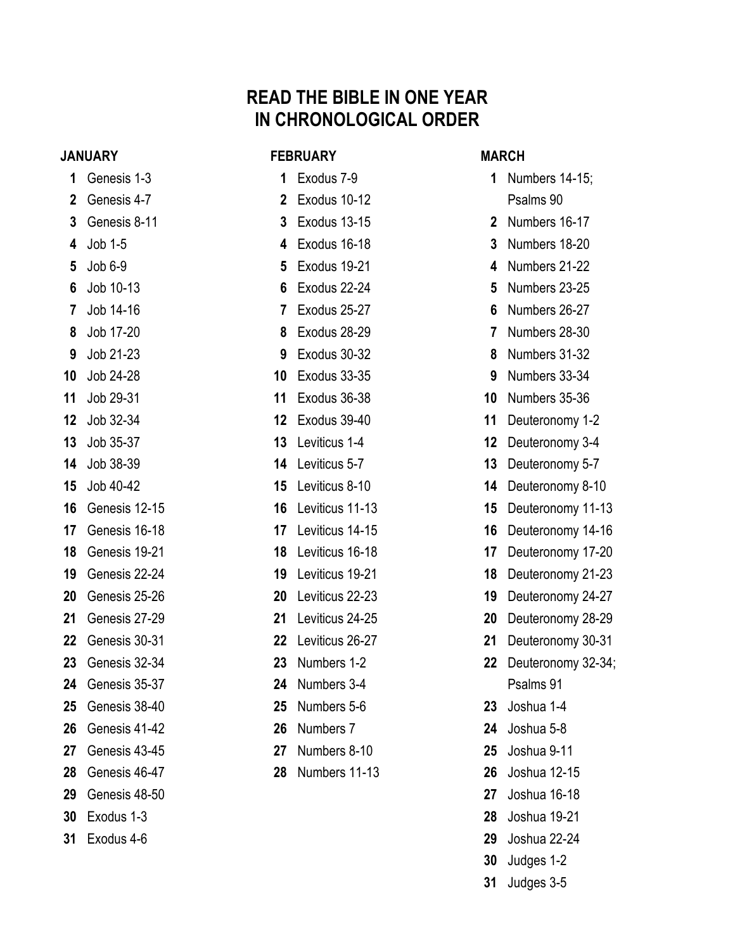# **READ THE BIBLE IN ONE YEAR IN CHRONOLOGICAL ORDER**

#### **JANUARY**

- Genesis 1-3 Genesis 4-7 Genesis 8-11 Job 1-5 Job 6-9 Job 10-13 Job 14-16 Job 17-20 Job 21-23 Job 24-28 Job 29-31 Job 32-34 Job 35-37 Job 38-39 Job 40-42 Genesis 12-15 Genesis 16-18 Genesis 19-21 Genesis 22-24 Genesis 25-26 Genesis 27-29 Genesis 30-31 Genesis 32-34 Genesis 35-37 Genesis 38-40 Genesis 41-42 Genesis 43-45 Genesis 46-47 Genesis 48-50 Exodus 1-3
- Exodus 4-6

| <b>FEBRUARY</b> |                         |  |
|-----------------|-------------------------|--|
| 1               | Exodus 7-9              |  |
| 2               | Exodus 10-12            |  |
| 3               | Exodus 13-15            |  |
| 4               | Exodus 16-18            |  |
| 5               | Exodus 19-21            |  |
| 6               | Exodus 22-24            |  |
| 7               | Exodus 25-27            |  |
| 8               | Exodus 28-29            |  |
| 9               | Exodus 30-32            |  |
| 10              | Exodus 33-35            |  |
| 11              | Exodus 36-38            |  |
| 12              | Exodus 39-40            |  |
| 13              | Leviticus 1-4           |  |
| 14              | Leviticus 5-7           |  |
| 15              | Leviticus 8-10          |  |
| 16              | Leviticus 11-13         |  |
| 17              | Leviticus 14-15         |  |
| 18              | Leviticus 16-18         |  |
| 19              | Leviticus 19-21         |  |
| 20              | Leviticus 22-23         |  |
| 21              | Leviticus 24-25         |  |
| 22              | Leviticus 26-27         |  |
| 23              | Numbers 1-2             |  |
| 24              | Numbers 3-4             |  |
| 25              | Numbers 5-6             |  |
| 26              | Numbers 7               |  |
| 27              | Numbers 8-10            |  |
|                 | <b>28</b> Numbers 11-13 |  |

#### **MARCH**

- Numbers 14-15; Psalms 90 Numbers 16-17 Numbers 18-20 Numbers 21-22 Numbers 23-25 Numbers 26-27 Numbers 28-30 Numbers 31-32 Numbers 33-34 Numbers 35-36 Deuteronomy 1-2 Deuteronomy 3-4 Deuteronomy 5-7 Deuteronomy 8-10 Deuteronomy 11-13 Deuteronomy 14-16 Deuteronomy 17-20 Deuteronomy 21-23 Deuteronomy 24-27 Deuteronomy 28-29 Deuteronomy 30-31 Deuteronomy 32-34; Psalms 91 Joshua 1-4 Joshua 5-8 Joshua 9-11 Joshua 12-15 Joshua 16-18 Joshua 19-21
	- Joshua 22-24
	- Judges 1-2
	- Judges 3-5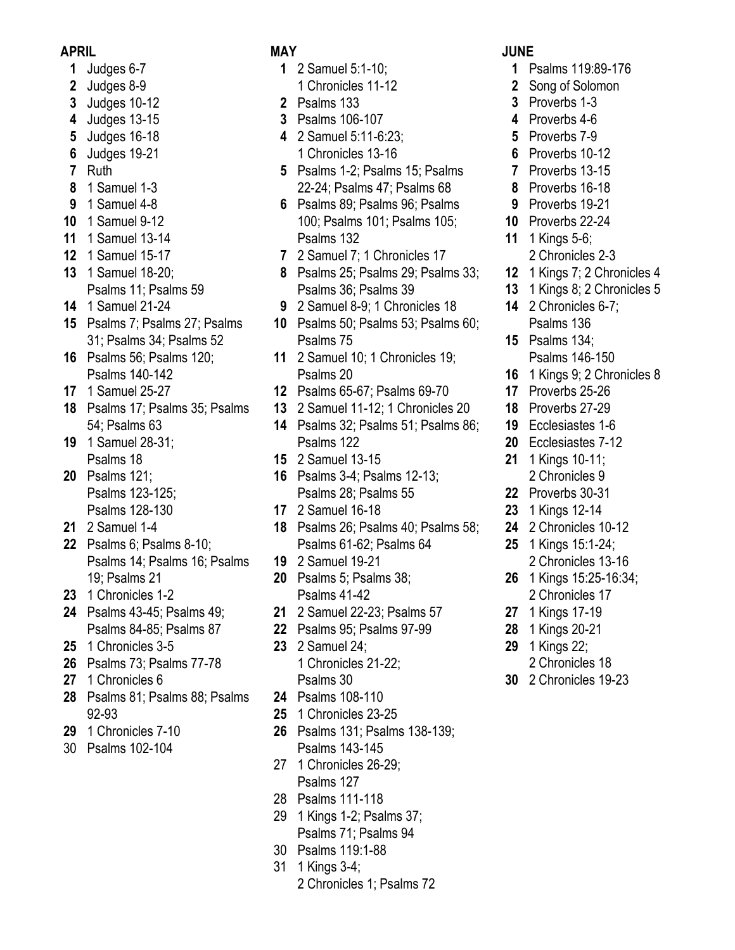#### **APRIL**

- Judges 6-7
- Judges 8-9
- Judges 10-12
- Judges 13-15
- Judges 16-18
- Judges 19-21
- Ruth
- 1 Samuel 1-3
- 1 Samuel 4-8
- 1 Samuel 9-12
- 1 Samuel 13-14
- 1 Samuel 15-17
- 1 Samuel 18-20;
- Psalms 11; Psalms 59
- 1 Samuel 21-24
- Psalms 7; Psalms 27; Psalms 31; Psalms 34; Psalms 52
- Psalms 56; Psalms 120; Psalms 140-142
- 1 Samuel 25-27
- Psalms 17; Psalms 35; Psalms 54; Psalms 63
- 1 Samuel 28-31; Psalms 18
- Psalms 121; Psalms 123-125; Psalms 128-130
- 2 Samuel 1-4
- Psalms 6; Psalms 8-10; Psalms 14; Psalms 16; Psalms 19; Psalms 21
- 1 Chronicles 1-2
- Psalms 43-45; Psalms 49; Psalms 84-85; Psalms 87
- 1 Chronicles 3-5
- Psalms 73; Psalms 77-78
- 1 Chronicles 6
- Psalms 81; Psalms 88; Psalms 92-93
- 1 Chronicles 7-10
- 30 Psalms 102-104

## **MAY**

- 2 Samuel 5:1-10;
	- 1 Chronicles 11-12
- Psalms 133
- Psalms 106-107
- 2 Samuel 5:11-6:23; 1 Chronicles 13-16
- Psalms 1-2; Psalms 15; Psalms 22-24; Psalms 47; Psalms 68
- Psalms 89; Psalms 96; Psalms 100; Psalms 101; Psalms 105; Psalms 132
- 2 Samuel 7; 1 Chronicles 17
- Psalms 25; Psalms 29; Psalms 33; Psalms 36; Psalms 39
- 2 Samuel 8-9; 1 Chronicles 18
- Psalms 50; Psalms 53; Psalms 60; Psalms 75
- 2 Samuel 10; 1 Chronicles 19; Psalms 20
- Psalms 65-67; Psalms 69-70
- 2 Samuel 11-12; 1 Chronicles 20
- Psalms 32; Psalms 51; Psalms 86; Psalms 122
- 2 Samuel 13-15
- Psalms 3-4; Psalms 12-13; Psalms 28; Psalms 55
- 2 Samuel 16-18
- Psalms 26; Psalms 40; Psalms 58; Psalms 61-62; Psalms 64
- 2 Samuel 19-21
- Psalms 5; Psalms 38; Psalms 41-42
- 2 Samuel 22-23; Psalms 57
- Psalms 95; Psalms 97-99
- 2 Samuel 24; 1 Chronicles 21-22; Psalms 30
- Psalms 108-110
- 1 Chronicles 23-25
- Psalms 131; Psalms 138-139; Psalms 143-145
- 27 1 Chronicles 26-29; Psalms 127
- 28 Psalms 111-118
- 29 1 Kings 1-2; Psalms 37; Psalms 71; Psalms 94
- 30 Psalms 119:1-88
- 31 1 Kings 3-4;
	- 2 Chronicles 1; Psalms 72

### **JUNE**

- Psalms 119:89-176
- Song of Solomon
- Proverbs 1-3
- Proverbs 4-6
- Proverbs 7-9
- Proverbs 10-12
- Proverbs 13-15
- Proverbs 16-18
- Proverbs 19-21
- Proverbs 22-24
- 1 Kings 5-6;
- 2 Chronicles 2-3
- 1 Kings 7; 2 Chronicles 4
- 1 Kings 8; 2 Chronicles 5
- 2 Chronicles 6-7; Psalms 136
- Psalms 134; Psalms 146-150
- 1 Kings 9; 2 Chronicles 8
- Proverbs 25-26
- Proverbs 27-29
- Ecclesiastes 1-6
- Ecclesiastes 7-12
- 1 Kings 10-11; 2 Chronicles 9
- Proverbs 30-31
- 1 Kings 12-14
- 2 Chronicles 10-12
- 1 Kings 15:1-24;
	- 2 Chronicles 13-16
- 1 Kings 15:25-16:34;
	- 2 Chronicles 17
- 1 Kings 17-19
- 1 Kings 20-21
- 1 Kings 22;
- 2 Chronicles 18 2 Chronicles 19-23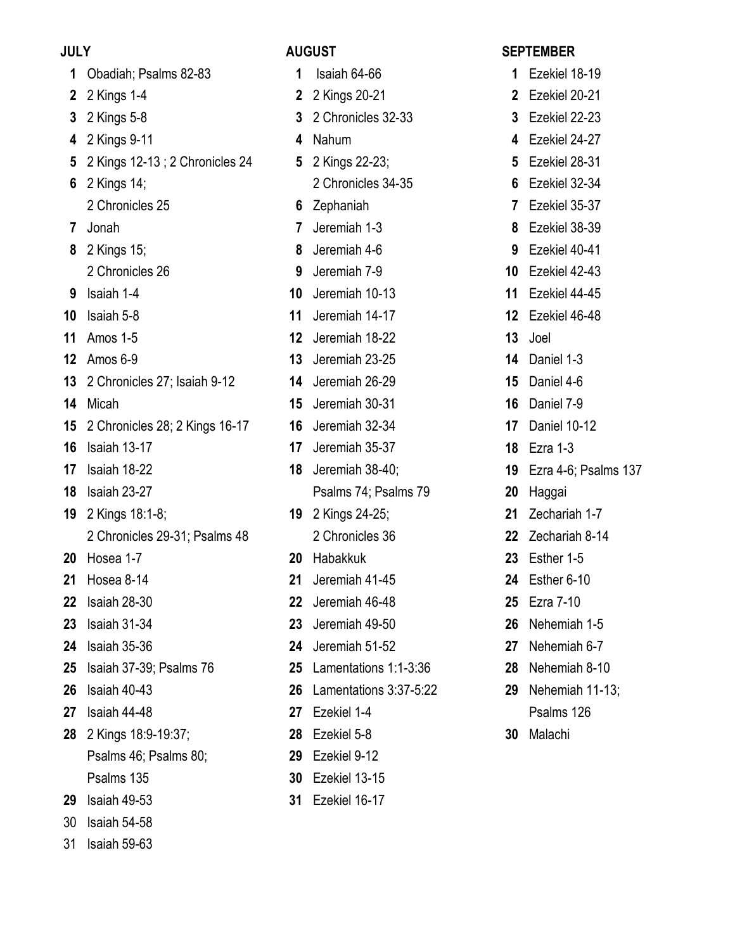## **JULY**

# **AUGUST**

| 1      | Obadiah; Psalms 82-83                    |
|--------|------------------------------------------|
|        | 2 2 Kings 1-4                            |
|        | 3 2 Kings 5-8                            |
|        | 4 2 Kings 9-11                           |
|        | 5 2 Kings 12-13 ; 2 Chronicles 24        |
|        | 6 2 Kings 14;                            |
|        | 2 Chronicles 25                          |
|        | 7 Jonah                                  |
|        | 8 2 Kings 15;                            |
|        | 2 Chronicles 26                          |
|        | 9 Isaiah 1-4                             |
|        | <b>10</b> Isaiah 5-8                     |
|        | <b>11</b> Amos 1-5                       |
|        | <b>12</b> Amos 6-9                       |
|        | 13 2 Chronicles 27; Isaiah 9-12          |
|        | 14 Micah                                 |
|        | <b>15</b> 2 Chronicles 28; 2 Kings 16-17 |
|        | <b>16</b> Isaiah 13-17                   |
|        | 17 Isaiah 18-22                          |
|        | <b>18</b> Isaiah 23-27                   |
|        | <b>19</b> 2 Kings 18:1-8;                |
|        | 2 Chronicles 29-31; Psalms 48            |
|        | <b>20</b> Hosea 1-7                      |
|        | <b>21</b> Hosea 8-14                     |
|        | 22 Isaiah 28-30                          |
| 23     | Isaiah 31-34                             |
| 24     | Isaiah 35-36                             |
| $25\,$ | Isaiah 37-39; Psalms 76                  |
| 26     | Isaiah 40-43                             |
| 27     | Isaiah 44-48                             |
| 28     | 2 Kings 18:9-19:37;                      |
|        | Psalms 46; Psalms 80;                    |
|        | Psalms 135                               |
| 29     | Isaiah 49-53                             |
| 30     | Isaiah 54-58                             |
|        | 31 Isaiah 59-63                          |

| 1              | Isaiah 64-66           |
|----------------|------------------------|
| $\mathbf{2}$   | 2 Kings 20-21          |
| $\mathbf{3}$   | 2 Chronicles 32-33     |
| 4              | Nahum                  |
| 5              | 2 Kings 22-23;         |
|                | 2 Chronicles 34-35     |
| 6              | Zephaniah              |
| $\overline{7}$ | Jeremiah 1-3           |
| 8              | Jeremiah 4-6           |
| 9              | Jeremiah 7-9           |
| 10             | Jeremiah 10-13         |
| 11             | Jeremiah 14-17         |
| 12             | Jeremiah 18-22         |
| 13             | Jeremiah 23-25         |
| 14             | Jeremiah 26-29         |
| 15             | Jeremiah 30-31         |
| 16             | Jeremiah 32-34         |
| 17             | Jeremiah 35-37         |
| 18             | Jeremiah 38-40;        |
|                | Psalms 74; Psalms 79   |
| 19             | 2 Kings 24-25;         |
|                | 2 Chronicles 36        |
|                | 20 Habakkuk            |
|                | 21 Jeremiah 41-45      |
| 22             | Jeremiah 46-48         |
| 23             | Jeremiah 49-50         |
| 24             | Jeremiah 51-52         |
| 25             | Lamentations 1:1-3:36  |
| 26             | Lamentations 3:37-5:22 |
| 27             | Ezekiel 1-4            |
| 28             | Ezekiel 5-8            |
| 29             | Ezekiel 9-12           |
| 30             | Ezekiel 13-15          |
| 31             | Ezekiel 16-17          |

## **SEPTEMBER**

| 1               | Ezekiel 18-19        |
|-----------------|----------------------|
| 2               | Ezekiel 20-21        |
| 3               | Ezekiel 22-23        |
| 4               | Ezekiel 24-27        |
| 5               | Ezekiel 28-31        |
| 6               | Ezekiel 32-34        |
| $\overline{7}$  | Ezekiel 35-37        |
| 8               | Ezekiel 38-39        |
| 9               | Ezekiel 40-41        |
| 10              | Ezekiel 42-43        |
| 11              | Ezekiel 44-45        |
| 12 <sub>2</sub> | Ezekiel 46-48        |
| 13              | Joel                 |
| 14              | Daniel 1-3           |
| 15 <sub>1</sub> | Daniel 4-6           |
| 16              | Daniel 7-9           |
| 17              | Daniel 10-12         |
| 18              | Ezra 1-3             |
| 19              | Ezra 4-6; Psalms 137 |
| 20              | Haggai               |
| 21              | Zechariah 1-7        |
| 22              | Zechariah 8-14       |
| 23              | Esther 1-5           |
| 24              | Esther 6-10          |
| 25              | Ezra 7-10            |
| 26              | Nehemiah 1-5         |
| 27              | Nehemiah 6-7         |
| 28              | Nehemiah 8-10        |
| 29              | Nehemiah 11-13;      |
|                 | Psalms 126           |

Malachi